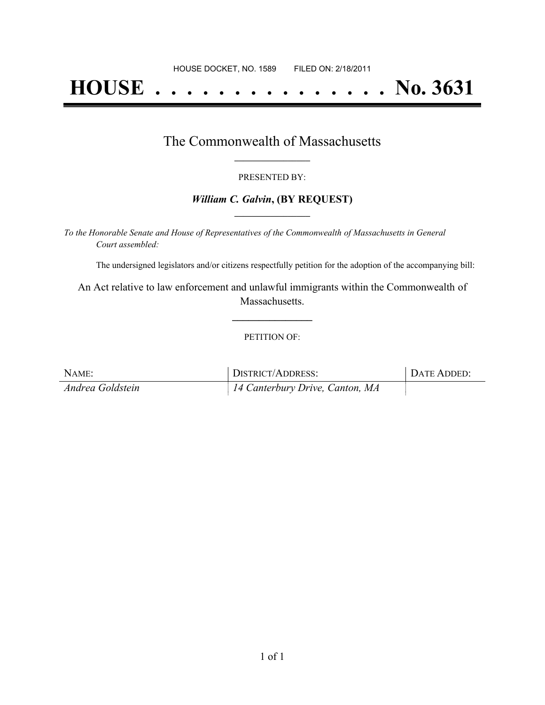# **HOUSE . . . . . . . . . . . . . . . No. 3631**

### The Commonwealth of Massachusetts **\_\_\_\_\_\_\_\_\_\_\_\_\_\_\_\_\_**

#### PRESENTED BY:

#### *William C. Galvin***, (BY REQUEST) \_\_\_\_\_\_\_\_\_\_\_\_\_\_\_\_\_**

*To the Honorable Senate and House of Representatives of the Commonwealth of Massachusetts in General Court assembled:*

The undersigned legislators and/or citizens respectfully petition for the adoption of the accompanying bill:

An Act relative to law enforcement and unlawful immigrants within the Commonwealth of Massachusetts.

**\_\_\_\_\_\_\_\_\_\_\_\_\_\_\_**

#### PETITION OF:

| NAME:            | DISTRICT/ADDRESS:               | DATE ADDED: |
|------------------|---------------------------------|-------------|
| Andrea Goldstein | 14 Canterbury Drive, Canton, MA |             |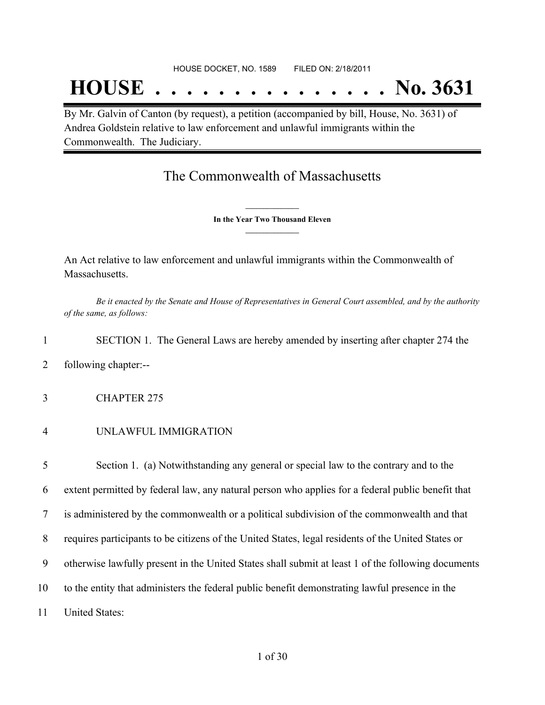## **HOUSE . . . . . . . . . . . . . . . No. 3631**

By Mr. Galvin of Canton (by request), a petition (accompanied by bill, House, No. 3631) of Andrea Goldstein relative to law enforcement and unlawful immigrants within the Commonwealth. The Judiciary.

## The Commonwealth of Massachusetts

**\_\_\_\_\_\_\_\_\_\_\_\_\_\_\_ In the Year Two Thousand Eleven \_\_\_\_\_\_\_\_\_\_\_\_\_\_\_**

An Act relative to law enforcement and unlawful immigrants within the Commonwealth of Massachusetts.

Be it enacted by the Senate and House of Representatives in General Court assembled, and by the authority *of the same, as follows:*

1 SECTION 1. The General Laws are hereby amended by inserting after chapter 274 the

- 2 following chapter:--
- 3 CHAPTER 275
- 4 UNLAWFUL IMMIGRATION

 Section 1. (a) Notwithstanding any general or special law to the contrary and to the extent permitted by federal law, any natural person who applies for a federal public benefit that is administered by the commonwealth or a political subdivision of the commonwealth and that requires participants to be citizens of the United States, legal residents of the United States or otherwise lawfully present in the United States shall submit at least 1 of the following documents to the entity that administers the federal public benefit demonstrating lawful presence in the United States: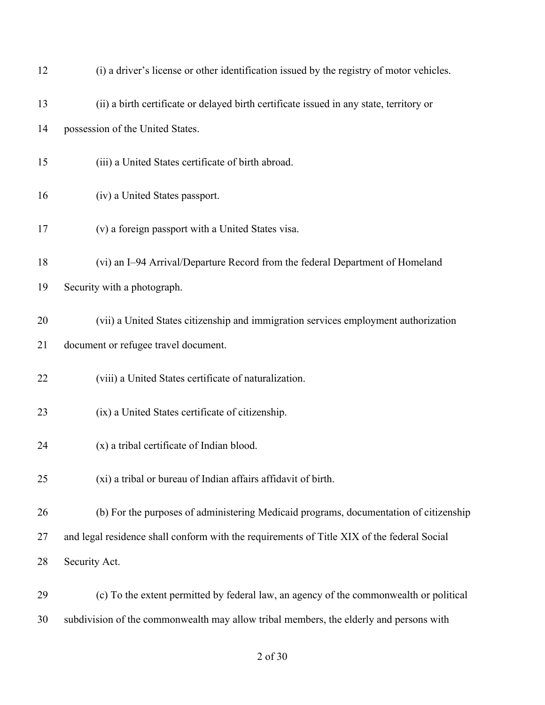| 12 | (i) a driver's license or other identification issued by the registry of motor vehicles.   |
|----|--------------------------------------------------------------------------------------------|
| 13 | (ii) a birth certificate or delayed birth certificate issued in any state, territory or    |
| 14 | possession of the United States.                                                           |
| 15 | (iii) a United States certificate of birth abroad.                                         |
| 16 | (iv) a United States passport.                                                             |
| 17 | (v) a foreign passport with a United States visa.                                          |
| 18 | (vi) an I-94 Arrival/Departure Record from the federal Department of Homeland              |
| 19 | Security with a photograph.                                                                |
| 20 | (vii) a United States citizenship and immigration services employment authorization        |
| 21 | document or refugee travel document.                                                       |
| 22 | (viii) a United States certificate of naturalization.                                      |
| 23 | (ix) a United States certificate of citizenship.                                           |
| 24 | (x) a tribal certificate of Indian blood.                                                  |
| 25 | (xi) a tribal or bureau of Indian affairs affidavit of birth.                              |
| 26 | (b) For the purposes of administering Medicaid programs, documentation of citizenship      |
| 27 | and legal residence shall conform with the requirements of Title XIX of the federal Social |
| 28 | Security Act.                                                                              |
| 29 | (c) To the extent permitted by federal law, an agency of the commonwealth or political     |
| 30 | subdivision of the commonwealth may allow tribal members, the elderly and persons with     |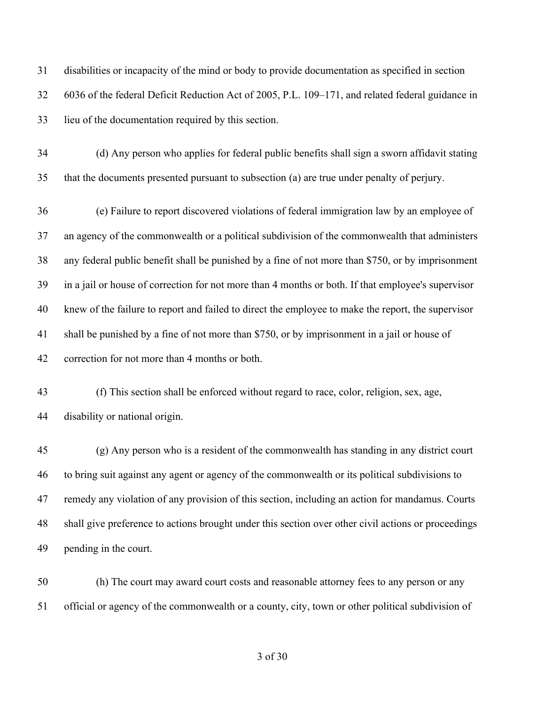disabilities or incapacity of the mind or body to provide documentation as specified in section 6036 of the federal Deficit Reduction Act of 2005, P.L. 109–171, and related federal guidance in lieu of the documentation required by this section.

 (d) Any person who applies for federal public benefits shall sign a sworn affidavit stating that the documents presented pursuant to subsection (a) are true under penalty of perjury.

 (e) Failure to report discovered violations of federal immigration law by an employee of an agency of the commonwealth or a political subdivision of the commonwealth that administers any federal public benefit shall be punished by a fine of not more than \$750, or by imprisonment in a jail or house of correction for not more than 4 months or both. If that employee's supervisor knew of the failure to report and failed to direct the employee to make the report, the supervisor shall be punished by a fine of not more than \$750, or by imprisonment in a jail or house of correction for not more than 4 months or both.

 (f) This section shall be enforced without regard to race, color, religion, sex, age, disability or national origin.

 (g) Any person who is a resident of the commonwealth has standing in any district court to bring suit against any agent or agency of the commonwealth or its political subdivisions to remedy any violation of any provision of this section, including an action for mandamus. Courts shall give preference to actions brought under this section over other civil actions or proceedings pending in the court.

 (h) The court may award court costs and reasonable attorney fees to any person or any official or agency of the commonwealth or a county, city, town or other political subdivision of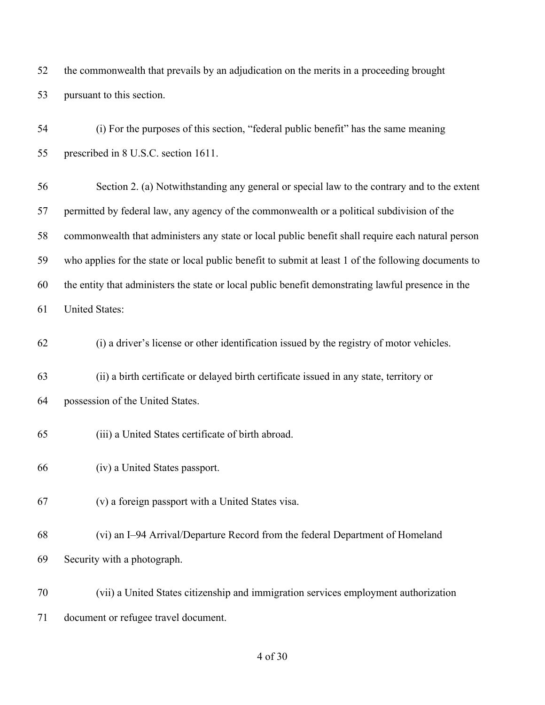the commonwealth that prevails by an adjudication on the merits in a proceeding brought pursuant to this section.

 (i) For the purposes of this section, "federal public benefit" has the same meaning prescribed in 8 U.S.C. section 1611. Section 2. (a) Notwithstanding any general or special law to the contrary and to the extent permitted by federal law, any agency of the commonwealth or a political subdivision of the commonwealth that administers any state or local public benefit shall require each natural person who applies for the state or local public benefit to submit at least 1 of the following documents to the entity that administers the state or local public benefit demonstrating lawful presence in the United States: (i) a driver's license or other identification issued by the registry of motor vehicles. (ii) a birth certificate or delayed birth certificate issued in any state, territory or possession of the United States. (iii) a United States certificate of birth abroad. (iv) a United States passport. (v) a foreign passport with a United States visa.

 (vi) an I–94 Arrival/Departure Record from the federal Department of Homeland Security with a photograph.

 (vii) a United States citizenship and immigration services employment authorization document or refugee travel document.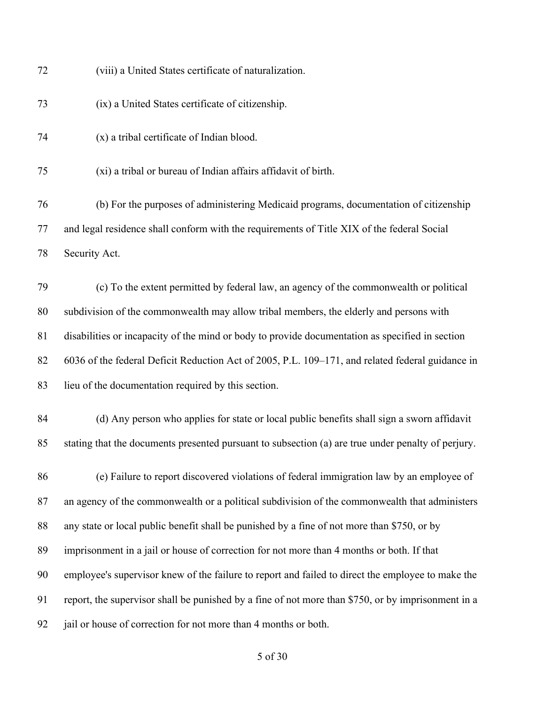| 72 | (viii) a United States certificate of naturalization.                                              |
|----|----------------------------------------------------------------------------------------------------|
| 73 | (ix) a United States certificate of citizenship.                                                   |
| 74 | (x) a tribal certificate of Indian blood.                                                          |
| 75 | (xi) a tribal or bureau of Indian affairs affidavit of birth.                                      |
| 76 | (b) For the purposes of administering Medicaid programs, documentation of citizenship              |
| 77 | and legal residence shall conform with the requirements of Title XIX of the federal Social         |
| 78 | Security Act.                                                                                      |
| 79 | (c) To the extent permitted by federal law, an agency of the commonwealth or political             |
| 80 | subdivision of the commonwealth may allow tribal members, the elderly and persons with             |
| 81 | disabilities or incapacity of the mind or body to provide documentation as specified in section    |
| 82 | 6036 of the federal Deficit Reduction Act of 2005, P.L. 109–171, and related federal guidance in   |
| 83 | lieu of the documentation required by this section.                                                |
| 84 | (d) Any person who applies for state or local public benefits shall sign a sworn affidavit         |
| 85 | stating that the documents presented pursuant to subsection (a) are true under penalty of perjury. |
| 86 | (e) Failure to report discovered violations of federal immigration law by an employee of           |
| 87 | an agency of the commonwealth or a political subdivision of the commonwealth that administers      |
| 88 | any state or local public benefit shall be punished by a fine of not more than \$750, or by        |
| 89 | imprisonment in a jail or house of correction for not more than 4 months or both. If that          |
| 90 | employee's supervisor knew of the failure to report and failed to direct the employee to make the  |
| 91 | report, the supervisor shall be punished by a fine of not more than \$750, or by imprisonment in a |
| 92 | jail or house of correction for not more than 4 months or both.                                    |
|    |                                                                                                    |

## of 30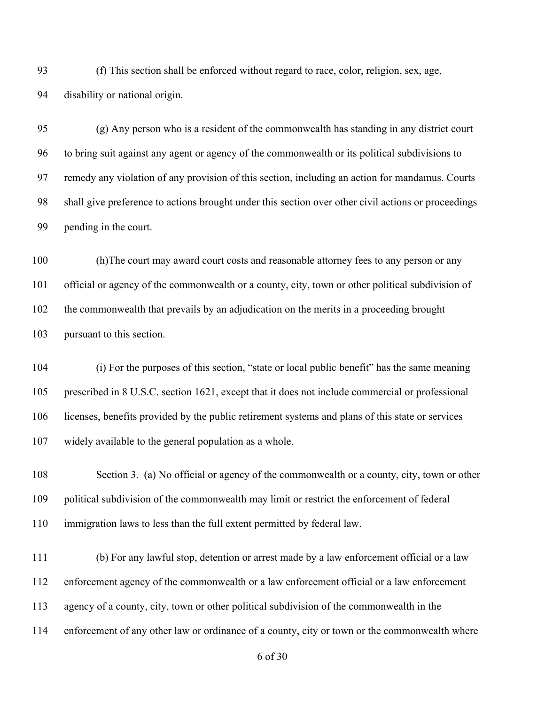(f) This section shall be enforced without regard to race, color, religion, sex, age, disability or national origin.

 (g) Any person who is a resident of the commonwealth has standing in any district court to bring suit against any agent or agency of the commonwealth or its political subdivisions to remedy any violation of any provision of this section, including an action for mandamus. Courts shall give preference to actions brought under this section over other civil actions or proceedings pending in the court.

 (h)The court may award court costs and reasonable attorney fees to any person or any official or agency of the commonwealth or a county, city, town or other political subdivision of the commonwealth that prevails by an adjudication on the merits in a proceeding brought pursuant to this section.

 (i) For the purposes of this section, "state or local public benefit" has the same meaning prescribed in 8 U.S.C. section 1621, except that it does not include commercial or professional licenses, benefits provided by the public retirement systems and plans of this state or services widely available to the general population as a whole.

 Section 3. (a) No official or agency of the commonwealth or a county, city, town or other political subdivision of the commonwealth may limit or restrict the enforcement of federal immigration laws to less than the full extent permitted by federal law.

 (b) For any lawful stop, detention or arrest made by a law enforcement official or a law enforcement agency of the commonwealth or a law enforcement official or a law enforcement agency of a county, city, town or other political subdivision of the commonwealth in the enforcement of any other law or ordinance of a county, city or town or the commonwealth where

of 30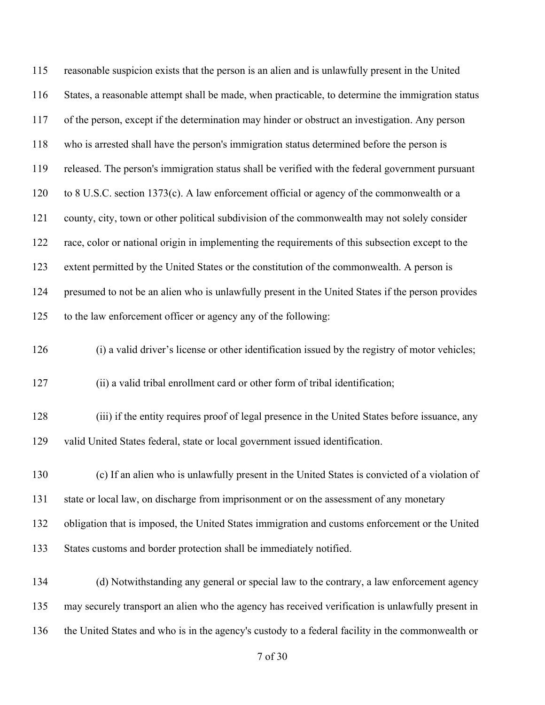| 115 | reasonable suspicion exists that the person is an alien and is unlawfully present in the United   |
|-----|---------------------------------------------------------------------------------------------------|
| 116 | States, a reasonable attempt shall be made, when practicable, to determine the immigration status |
| 117 | of the person, except if the determination may hinder or obstruct an investigation. Any person    |
| 118 | who is arrested shall have the person's immigration status determined before the person is        |
| 119 | released. The person's immigration status shall be verified with the federal government pursuant  |
| 120 | to 8 U.S.C. section 1373(c). A law enforcement official or agency of the commonwealth or a        |
| 121 | county, city, town or other political subdivision of the commonwealth may not solely consider     |
| 122 | race, color or national origin in implementing the requirements of this subsection except to the  |
| 123 | extent permitted by the United States or the constitution of the commonwealth. A person is        |
| 124 | presumed to not be an alien who is unlawfully present in the United States if the person provides |
| 125 | to the law enforcement officer or agency any of the following:                                    |
| 126 | (i) a valid driver's license or other identification issued by the registry of motor vehicles;    |
| 127 | (ii) a valid tribal enrollment card or other form of tribal identification;                       |
| 128 | (iii) if the entity requires proof of legal presence in the United States before issuance, any    |
| 129 | valid United States federal, state or local government issued identification.                     |
| 130 | (c) If an alien who is unlawfully present in the United States is convicted of a violation of     |
| 131 | state or local law, on discharge from imprisonment or on the assessment of any monetary           |
| 132 | obligation that is imposed, the United States immigration and customs enforcement or the United   |
| 133 | States customs and border protection shall be immediately notified.                               |
| 134 | (d) Notwithstanding any general or special law to the contrary, a law enforcement agency          |
| 135 | may securely transport an alien who the agency has received verification is unlawfully present in |
| 136 | the United States and who is in the agency's custody to a federal facility in the commonwealth or |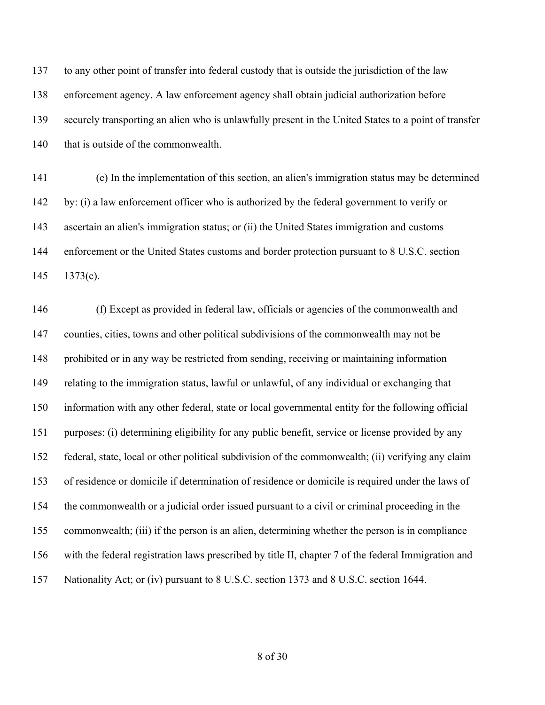to any other point of transfer into federal custody that is outside the jurisdiction of the law enforcement agency. A law enforcement agency shall obtain judicial authorization before securely transporting an alien who is unlawfully present in the United States to a point of transfer 140 that is outside of the commonwealth.

 (e) In the implementation of this section, an alien's immigration status may be determined by: (i) a law enforcement officer who is authorized by the federal government to verify or ascertain an alien's immigration status; or (ii) the United States immigration and customs enforcement or the United States customs and border protection pursuant to 8 U.S.C. section 1373(c).

 (f) Except as provided in federal law, officials or agencies of the commonwealth and counties, cities, towns and other political subdivisions of the commonwealth may not be prohibited or in any way be restricted from sending, receiving or maintaining information relating to the immigration status, lawful or unlawful, of any individual or exchanging that information with any other federal, state or local governmental entity for the following official purposes: (i) determining eligibility for any public benefit, service or license provided by any federal, state, local or other political subdivision of the commonwealth; (ii) verifying any claim of residence or domicile if determination of residence or domicile is required under the laws of the commonwealth or a judicial order issued pursuant to a civil or criminal proceeding in the commonwealth; (iii) if the person is an alien, determining whether the person is in compliance with the federal registration laws prescribed by title II, chapter 7 of the federal Immigration and Nationality Act; or (iv) pursuant to 8 U.S.C. section 1373 and 8 U.S.C. section 1644.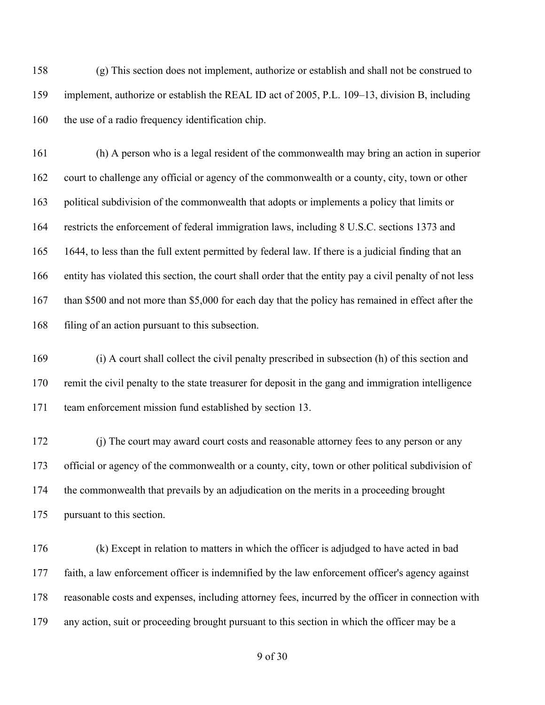(g) This section does not implement, authorize or establish and shall not be construed to implement, authorize or establish the REAL ID act of 2005, P.L. 109–13, division B, including 160 the use of a radio frequency identification chip.

 (h) A person who is a legal resident of the commonwealth may bring an action in superior court to challenge any official or agency of the commonwealth or a county, city, town or other political subdivision of the commonwealth that adopts or implements a policy that limits or restricts the enforcement of federal immigration laws, including 8 U.S.C. sections 1373 and 1644, to less than the full extent permitted by federal law. If there is a judicial finding that an entity has violated this section, the court shall order that the entity pay a civil penalty of not less 167 than \$500 and not more than \$5,000 for each day that the policy has remained in effect after the filing of an action pursuant to this subsection.

 (i) A court shall collect the civil penalty prescribed in subsection (h) of this section and remit the civil penalty to the state treasurer for deposit in the gang and immigration intelligence team enforcement mission fund established by section 13.

 (j) The court may award court costs and reasonable attorney fees to any person or any official or agency of the commonwealth or a county, city, town or other political subdivision of the commonwealth that prevails by an adjudication on the merits in a proceeding brought pursuant to this section.

 (k) Except in relation to matters in which the officer is adjudged to have acted in bad faith, a law enforcement officer is indemnified by the law enforcement officer's agency against reasonable costs and expenses, including attorney fees, incurred by the officer in connection with any action, suit or proceeding brought pursuant to this section in which the officer may be a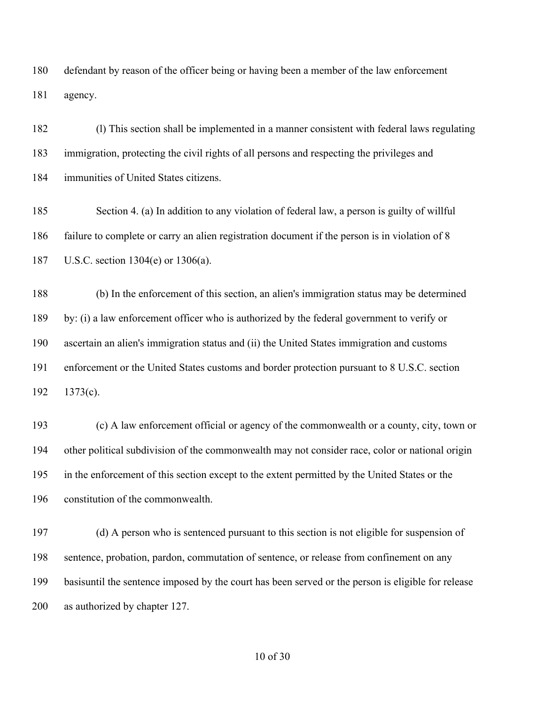defendant by reason of the officer being or having been a member of the law enforcement agency.

 (l) This section shall be implemented in a manner consistent with federal laws regulating immigration, protecting the civil rights of all persons and respecting the privileges and immunities of United States citizens.

 Section 4. (a) In addition to any violation of federal law, a person is guilty of willful failure to complete or carry an alien registration document if the person is in violation of 8 U.S.C. section 1304(e) or 1306(a).

 (b) In the enforcement of this section, an alien's immigration status may be determined by: (i) a law enforcement officer who is authorized by the federal government to verify or ascertain an alien's immigration status and (ii) the United States immigration and customs enforcement or the United States customs and border protection pursuant to 8 U.S.C. section 1373(c).

 (c) A law enforcement official or agency of the commonwealth or a county, city, town or other political subdivision of the commonwealth may not consider race, color or national origin in the enforcement of this section except to the extent permitted by the United States or the constitution of the commonwealth.

 (d) A person who is sentenced pursuant to this section is not eligible for suspension of sentence, probation, pardon, commutation of sentence, or release from confinement on any basisuntil the sentence imposed by the court has been served or the person is eligible for release as authorized by chapter 127.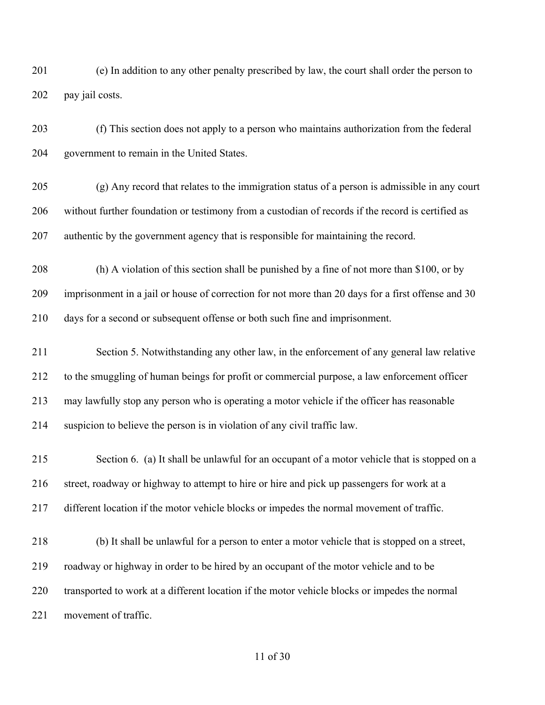(e) In addition to any other penalty prescribed by law, the court shall order the person to pay jail costs.

 (f) This section does not apply to a person who maintains authorization from the federal government to remain in the United States.

 (g) Any record that relates to the immigration status of a person is admissible in any court without further foundation or testimony from a custodian of records if the record is certified as authentic by the government agency that is responsible for maintaining the record.

 (h) A violation of this section shall be punished by a fine of not more than \$100, or by imprisonment in a jail or house of correction for not more than 20 days for a first offense and 30 days for a second or subsequent offense or both such fine and imprisonment.

 Section 5. Notwithstanding any other law, in the enforcement of any general law relative to the smuggling of human beings for profit or commercial purpose, a law enforcement officer may lawfully stop any person who is operating a motor vehicle if the officer has reasonable suspicion to believe the person is in violation of any civil traffic law.

 Section 6. (a) It shall be unlawful for an occupant of a motor vehicle that is stopped on a street, roadway or highway to attempt to hire or hire and pick up passengers for work at a different location if the motor vehicle blocks or impedes the normal movement of traffic.

 (b) It shall be unlawful for a person to enter a motor vehicle that is stopped on a street, roadway or highway in order to be hired by an occupant of the motor vehicle and to be transported to work at a different location if the motor vehicle blocks or impedes the normal movement of traffic.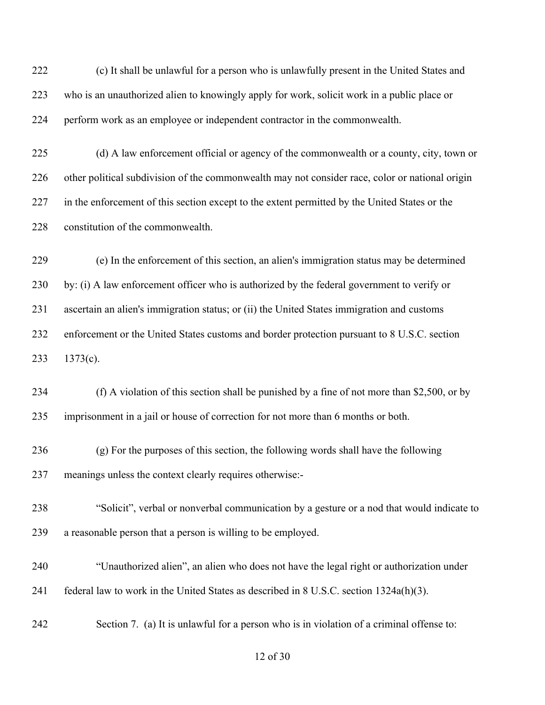(c) It shall be unlawful for a person who is unlawfully present in the United States and who is an unauthorized alien to knowingly apply for work, solicit work in a public place or perform work as an employee or independent contractor in the commonwealth.

 (d) A law enforcement official or agency of the commonwealth or a county, city, town or other political subdivision of the commonwealth may not consider race, color or national origin 227 in the enforcement of this section except to the extent permitted by the United States or the 228 constitution of the commonwealth.

 (e) In the enforcement of this section, an alien's immigration status may be determined by: (i) A law enforcement officer who is authorized by the federal government to verify or ascertain an alien's immigration status; or (ii) the United States immigration and customs enforcement or the United States customs and border protection pursuant to 8 U.S.C. section 1373(c).

 (f) A violation of this section shall be punished by a fine of not more than \$2,500, or by imprisonment in a jail or house of correction for not more than 6 months or both.

 (g) For the purposes of this section, the following words shall have the following meanings unless the context clearly requires otherwise:-

 "Solicit", verbal or nonverbal communication by a gesture or a nod that would indicate to a reasonable person that a person is willing to be employed.

 "Unauthorized alien", an alien who does not have the legal right or authorization under federal law to work in the United States as described in 8 U.S.C. section 1324a(h)(3).

Section 7. (a) It is unlawful for a person who is in violation of a criminal offense to: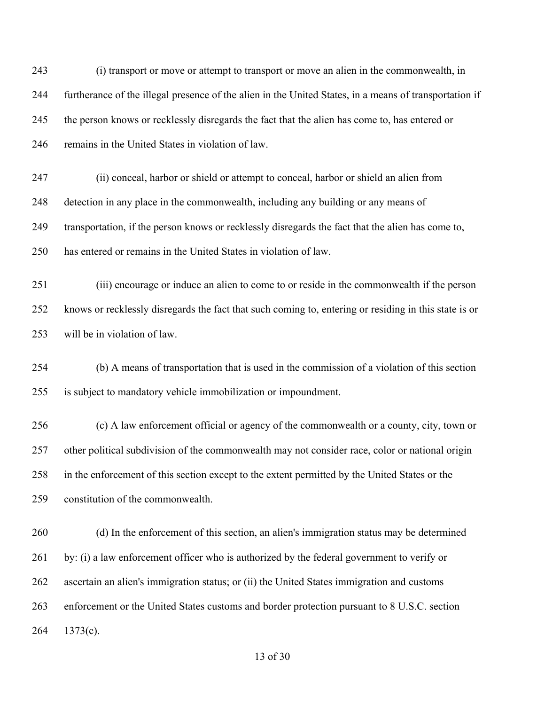(i) transport or move or attempt to transport or move an alien in the commonwealth, in furtherance of the illegal presence of the alien in the United States, in a means of transportation if the person knows or recklessly disregards the fact that the alien has come to, has entered or remains in the United States in violation of law.

 (ii) conceal, harbor or shield or attempt to conceal, harbor or shield an alien from detection in any place in the commonwealth, including any building or any means of transportation, if the person knows or recklessly disregards the fact that the alien has come to, has entered or remains in the United States in violation of law.

 (iii) encourage or induce an alien to come to or reside in the commonwealth if the person knows or recklessly disregards the fact that such coming to, entering or residing in this state is or will be in violation of law.

 (b) A means of transportation that is used in the commission of a violation of this section is subject to mandatory vehicle immobilization or impoundment.

 (c) A law enforcement official or agency of the commonwealth or a county, city, town or other political subdivision of the commonwealth may not consider race, color or national origin in the enforcement of this section except to the extent permitted by the United States or the constitution of the commonwealth.

 (d) In the enforcement of this section, an alien's immigration status may be determined 261 by: (i) a law enforcement officer who is authorized by the federal government to verify or ascertain an alien's immigration status; or (ii) the United States immigration and customs enforcement or the United States customs and border protection pursuant to 8 U.S.C. section 1373(c).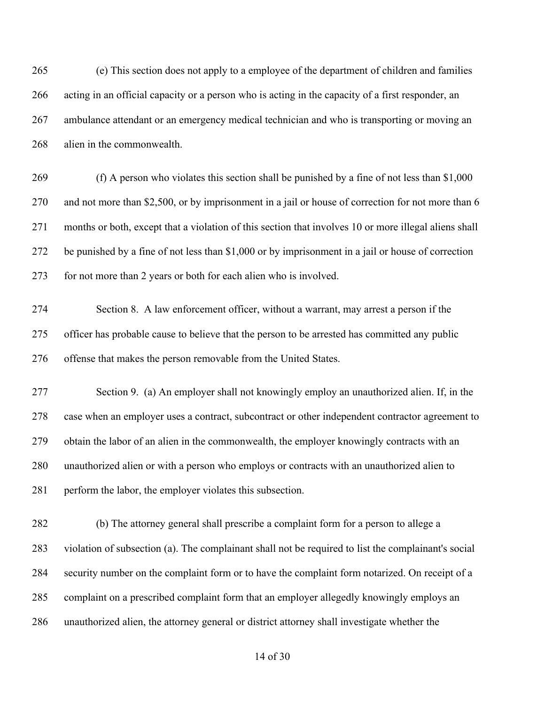(e) This section does not apply to a employee of the department of children and families acting in an official capacity or a person who is acting in the capacity of a first responder, an ambulance attendant or an emergency medical technician and who is transporting or moving an alien in the commonwealth.

 (f) A person who violates this section shall be punished by a fine of not less than \$1,000 and not more than \$2,500, or by imprisonment in a jail or house of correction for not more than 6 months or both, except that a violation of this section that involves 10 or more illegal aliens shall be punished by a fine of not less than \$1,000 or by imprisonment in a jail or house of correction for not more than 2 years or both for each alien who is involved.

 Section 8. A law enforcement officer, without a warrant, may arrest a person if the officer has probable cause to believe that the person to be arrested has committed any public offense that makes the person removable from the United States.

 Section 9. (a) An employer shall not knowingly employ an unauthorized alien. If, in the case when an employer uses a contract, subcontract or other independent contractor agreement to obtain the labor of an alien in the commonwealth, the employer knowingly contracts with an unauthorized alien or with a person who employs or contracts with an unauthorized alien to 281 perform the labor, the employer violates this subsection.

 (b) The attorney general shall prescribe a complaint form for a person to allege a violation of subsection (a). The complainant shall not be required to list the complainant's social security number on the complaint form or to have the complaint form notarized. On receipt of a complaint on a prescribed complaint form that an employer allegedly knowingly employs an unauthorized alien, the attorney general or district attorney shall investigate whether the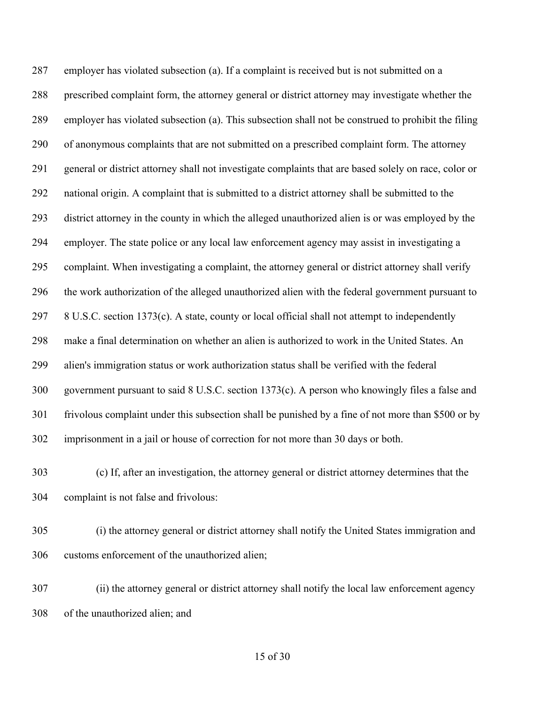employer has violated subsection (a). If a complaint is received but is not submitted on a prescribed complaint form, the attorney general or district attorney may investigate whether the employer has violated subsection (a). This subsection shall not be construed to prohibit the filing of anonymous complaints that are not submitted on a prescribed complaint form. The attorney general or district attorney shall not investigate complaints that are based solely on race, color or national origin. A complaint that is submitted to a district attorney shall be submitted to the district attorney in the county in which the alleged unauthorized alien is or was employed by the employer. The state police or any local law enforcement agency may assist in investigating a complaint. When investigating a complaint, the attorney general or district attorney shall verify the work authorization of the alleged unauthorized alien with the federal government pursuant to 8 U.S.C. section 1373(c). A state, county or local official shall not attempt to independently make a final determination on whether an alien is authorized to work in the United States. An alien's immigration status or work authorization status shall be verified with the federal government pursuant to said 8 U.S.C. section 1373(c). A person who knowingly files a false and frivolous complaint under this subsection shall be punished by a fine of not more than \$500 or by imprisonment in a jail or house of correction for not more than 30 days or both.

 (c) If, after an investigation, the attorney general or district attorney determines that the complaint is not false and frivolous:

 (i) the attorney general or district attorney shall notify the United States immigration and customs enforcement of the unauthorized alien;

 (ii) the attorney general or district attorney shall notify the local law enforcement agency of the unauthorized alien; and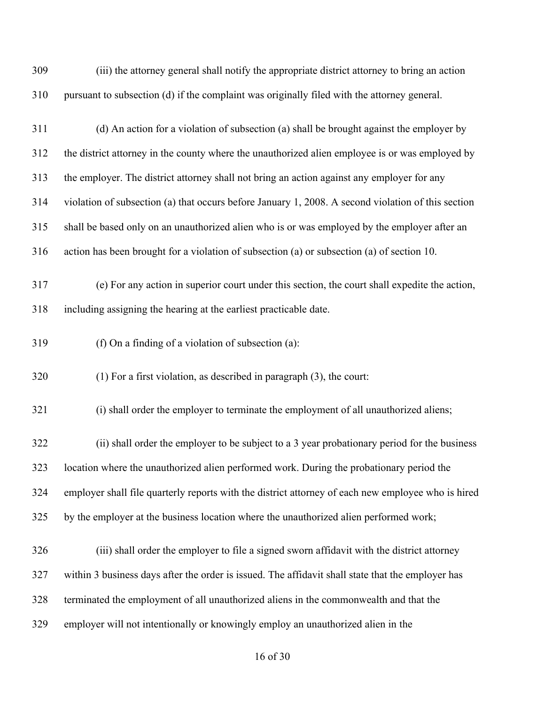| 309 | (iii) the attorney general shall notify the appropriate district attorney to bring an action       |
|-----|----------------------------------------------------------------------------------------------------|
| 310 | pursuant to subsection (d) if the complaint was originally filed with the attorney general.        |
| 311 | (d) An action for a violation of subsection (a) shall be brought against the employer by           |
| 312 | the district attorney in the county where the unauthorized alien employee is or was employed by    |
| 313 | the employer. The district attorney shall not bring an action against any employer for any         |
| 314 | violation of subsection (a) that occurs before January 1, 2008. A second violation of this section |
| 315 | shall be based only on an unauthorized alien who is or was employed by the employer after an       |
| 316 | action has been brought for a violation of subsection (a) or subsection (a) of section 10.         |
| 317 | (e) For any action in superior court under this section, the court shall expedite the action,      |
| 318 | including assigning the hearing at the earliest practicable date.                                  |
| 319 | (f) On a finding of a violation of subsection $(a)$ :                                              |
| 320 | $(1)$ For a first violation, as described in paragraph $(3)$ , the court:                          |

321 (i) shall order the employer to terminate the employment of all unauthorized aliens;

 (ii) shall order the employer to be subject to a 3 year probationary period for the business location where the unauthorized alien performed work. During the probationary period the employer shall file quarterly reports with the district attorney of each new employee who is hired by the employer at the business location where the unauthorized alien performed work;

 (iii) shall order the employer to file a signed sworn affidavit with the district attorney within 3 business days after the order is issued. The affidavit shall state that the employer has terminated the employment of all unauthorized aliens in the commonwealth and that the employer will not intentionally or knowingly employ an unauthorized alien in the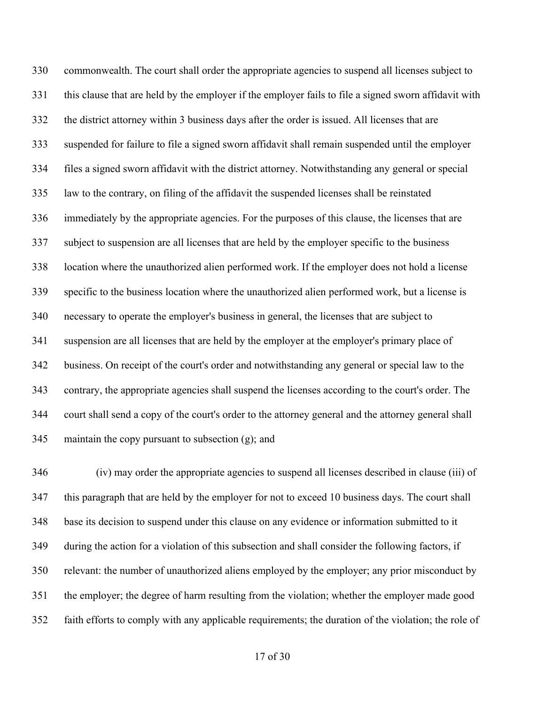commonwealth. The court shall order the appropriate agencies to suspend all licenses subject to this clause that are held by the employer if the employer fails to file a signed sworn affidavit with the district attorney within 3 business days after the order is issued. All licenses that are suspended for failure to file a signed sworn affidavit shall remain suspended until the employer files a signed sworn affidavit with the district attorney. Notwithstanding any general or special law to the contrary, on filing of the affidavit the suspended licenses shall be reinstated immediately by the appropriate agencies. For the purposes of this clause, the licenses that are subject to suspension are all licenses that are held by the employer specific to the business location where the unauthorized alien performed work. If the employer does not hold a license specific to the business location where the unauthorized alien performed work, but a license is necessary to operate the employer's business in general, the licenses that are subject to suspension are all licenses that are held by the employer at the employer's primary place of business. On receipt of the court's order and notwithstanding any general or special law to the contrary, the appropriate agencies shall suspend the licenses according to the court's order. The court shall send a copy of the court's order to the attorney general and the attorney general shall maintain the copy pursuant to subsection (g); and

 (iv) may order the appropriate agencies to suspend all licenses described in clause (iii) of this paragraph that are held by the employer for not to exceed 10 business days. The court shall base its decision to suspend under this clause on any evidence or information submitted to it during the action for a violation of this subsection and shall consider the following factors, if relevant: the number of unauthorized aliens employed by the employer; any prior misconduct by the employer; the degree of harm resulting from the violation; whether the employer made good faith efforts to comply with any applicable requirements; the duration of the violation; the role of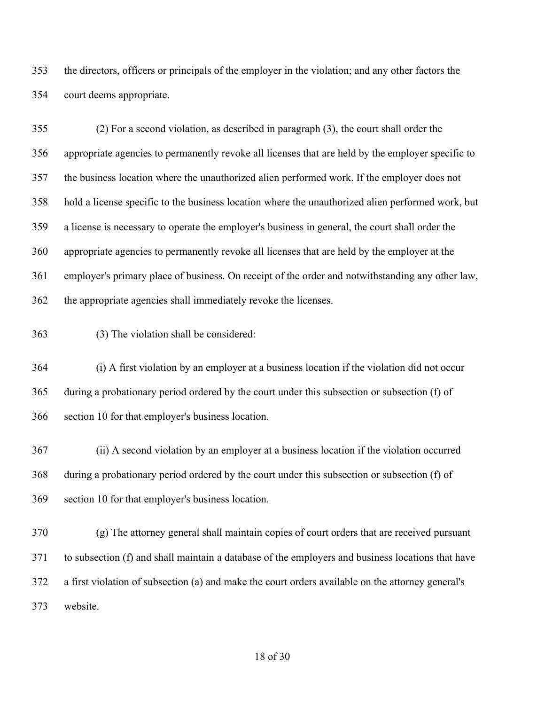the directors, officers or principals of the employer in the violation; and any other factors the court deems appropriate.

 (2) For a second violation, as described in paragraph (3), the court shall order the appropriate agencies to permanently revoke all licenses that are held by the employer specific to the business location where the unauthorized alien performed work. If the employer does not hold a license specific to the business location where the unauthorized alien performed work, but a license is necessary to operate the employer's business in general, the court shall order the appropriate agencies to permanently revoke all licenses that are held by the employer at the employer's primary place of business. On receipt of the order and notwithstanding any other law, the appropriate agencies shall immediately revoke the licenses.

(3) The violation shall be considered:

 (i) A first violation by an employer at a business location if the violation did not occur during a probationary period ordered by the court under this subsection or subsection (f) of section 10 for that employer's business location.

 (ii) A second violation by an employer at a business location if the violation occurred during a probationary period ordered by the court under this subsection or subsection (f) of section 10 for that employer's business location.

 (g) The attorney general shall maintain copies of court orders that are received pursuant to subsection (f) and shall maintain a database of the employers and business locations that have a first violation of subsection (a) and make the court orders available on the attorney general's website.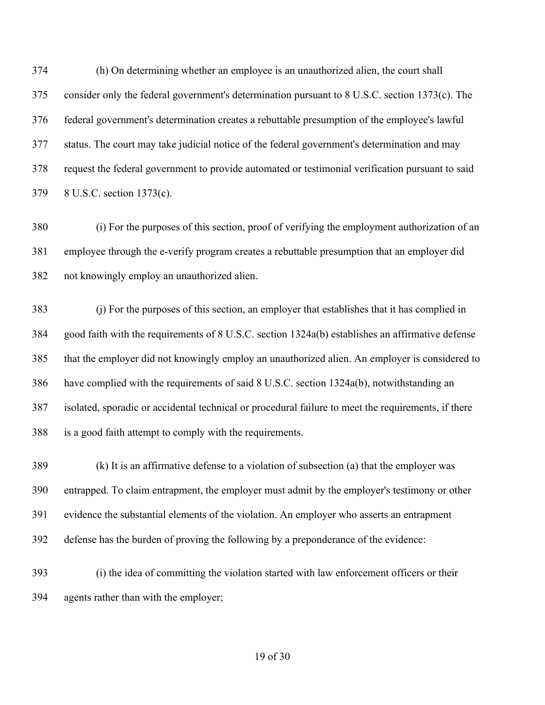(h) On determining whether an employee is an unauthorized alien, the court shall consider only the federal government's determination pursuant to 8 U.S.C. section 1373(c). The federal government's determination creates a rebuttable presumption of the employee's lawful status. The court may take judicial notice of the federal government's determination and may request the federal government to provide automated or testimonial verification pursuant to said 8 U.S.C. section 1373(c).

 (i) For the purposes of this section, proof of verifying the employment authorization of an employee through the e-verify program creates a rebuttable presumption that an employer did not knowingly employ an unauthorized alien.

 (j) For the purposes of this section, an employer that establishes that it has complied in good faith with the requirements of 8 U.S.C. section 1324a(b) establishes an affirmative defense that the employer did not knowingly employ an unauthorized alien. An employer is considered to have complied with the requirements of said 8 U.S.C. section 1324a(b), notwithstanding an isolated, sporadic or accidental technical or procedural failure to meet the requirements, if there is a good faith attempt to comply with the requirements.

 (k) It is an affirmative defense to a violation of subsection (a) that the employer was entrapped. To claim entrapment, the employer must admit by the employer's testimony or other evidence the substantial elements of the violation. An employer who asserts an entrapment defense has the burden of proving the following by a preponderance of the evidence:

 (i) the idea of committing the violation started with law enforcement officers or their agents rather than with the employer;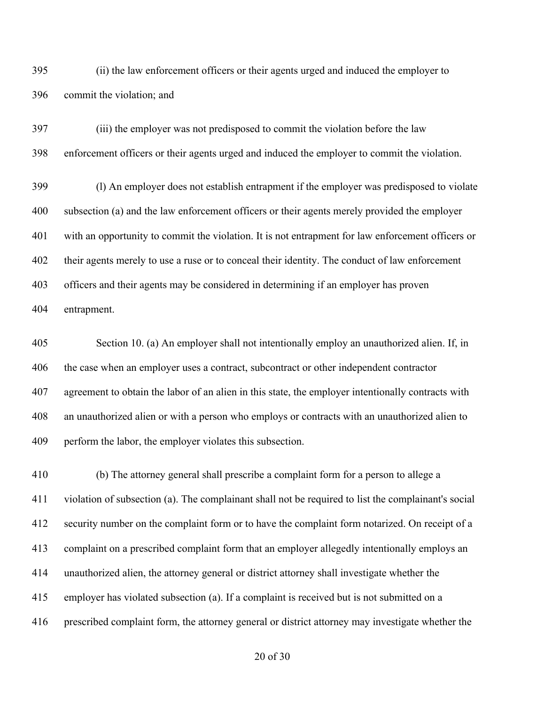(ii) the law enforcement officers or their agents urged and induced the employer to commit the violation; and

 (iii) the employer was not predisposed to commit the violation before the law enforcement officers or their agents urged and induced the employer to commit the violation.

 (l) An employer does not establish entrapment if the employer was predisposed to violate subsection (a) and the law enforcement officers or their agents merely provided the employer with an opportunity to commit the violation. It is not entrapment for law enforcement officers or their agents merely to use a ruse or to conceal their identity. The conduct of law enforcement officers and their agents may be considered in determining if an employer has proven entrapment.

 Section 10. (a) An employer shall not intentionally employ an unauthorized alien. If, in the case when an employer uses a contract, subcontract or other independent contractor agreement to obtain the labor of an alien in this state, the employer intentionally contracts with an unauthorized alien or with a person who employs or contracts with an unauthorized alien to perform the labor, the employer violates this subsection.

 (b) The attorney general shall prescribe a complaint form for a person to allege a violation of subsection (a). The complainant shall not be required to list the complainant's social security number on the complaint form or to have the complaint form notarized. On receipt of a complaint on a prescribed complaint form that an employer allegedly intentionally employs an unauthorized alien, the attorney general or district attorney shall investigate whether the employer has violated subsection (a). If a complaint is received but is not submitted on a prescribed complaint form, the attorney general or district attorney may investigate whether the

of 30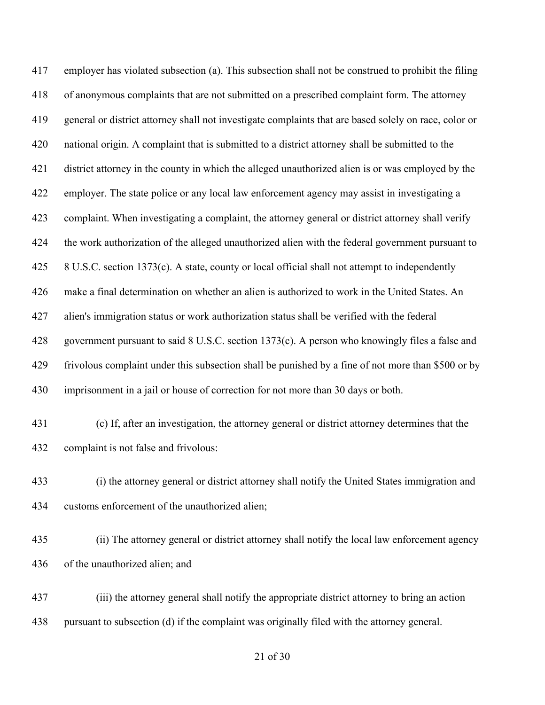employer has violated subsection (a). This subsection shall not be construed to prohibit the filing of anonymous complaints that are not submitted on a prescribed complaint form. The attorney general or district attorney shall not investigate complaints that are based solely on race, color or national origin. A complaint that is submitted to a district attorney shall be submitted to the district attorney in the county in which the alleged unauthorized alien is or was employed by the employer. The state police or any local law enforcement agency may assist in investigating a complaint. When investigating a complaint, the attorney general or district attorney shall verify the work authorization of the alleged unauthorized alien with the federal government pursuant to 8 U.S.C. section 1373(c). A state, county or local official shall not attempt to independently make a final determination on whether an alien is authorized to work in the United States. An alien's immigration status or work authorization status shall be verified with the federal government pursuant to said 8 U.S.C. section 1373(c). A person who knowingly files a false and frivolous complaint under this subsection shall be punished by a fine of not more than \$500 or by imprisonment in a jail or house of correction for not more than 30 days or both. (c) If, after an investigation, the attorney general or district attorney determines that the

- complaint is not false and frivolous:
- (i) the attorney general or district attorney shall notify the United States immigration and customs enforcement of the unauthorized alien;
- (ii) The attorney general or district attorney shall notify the local law enforcement agency of the unauthorized alien; and
- (iii) the attorney general shall notify the appropriate district attorney to bring an action pursuant to subsection (d) if the complaint was originally filed with the attorney general.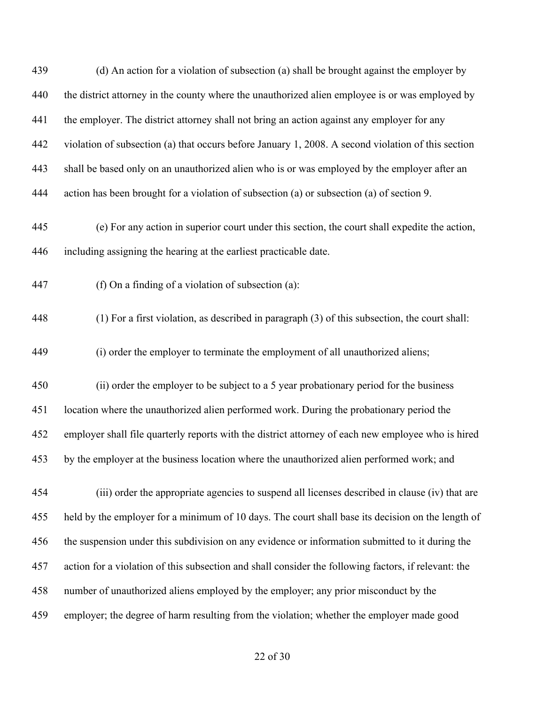| 439 | (d) An action for a violation of subsection (a) shall be brought against the employer by             |
|-----|------------------------------------------------------------------------------------------------------|
| 440 | the district attorney in the county where the unauthorized alien employee is or was employed by      |
| 441 | the employer. The district attorney shall not bring an action against any employer for any           |
| 442 | violation of subsection (a) that occurs before January 1, 2008. A second violation of this section   |
| 443 | shall be based only on an unauthorized alien who is or was employed by the employer after an         |
| 444 | action has been brought for a violation of subsection (a) or subsection (a) of section 9.            |
| 445 | (e) For any action in superior court under this section, the court shall expedite the action,        |
| 446 | including assigning the hearing at the earliest practicable date.                                    |
| 447 | (f) On a finding of a violation of subsection (a):                                                   |
| 448 | (1) For a first violation, as described in paragraph (3) of this subsection, the court shall:        |
| 449 | (i) order the employer to terminate the employment of all unauthorized aliens;                       |
| 450 | (ii) order the employer to be subject to a 5 year probationary period for the business               |
| 451 | location where the unauthorized alien performed work. During the probationary period the             |
| 452 | employer shall file quarterly reports with the district attorney of each new employee who is hired   |
| 453 | by the employer at the business location where the unauthorized alien performed work; and            |
| 454 | (iii) order the appropriate agencies to suspend all licenses described in clause (iv) that are       |
| 455 | held by the employer for a minimum of 10 days. The court shall base its decision on the length of    |
| 456 | the suspension under this subdivision on any evidence or information submitted to it during the      |
| 457 | action for a violation of this subsection and shall consider the following factors, if relevant: the |
| 458 | number of unauthorized aliens employed by the employer; any prior misconduct by the                  |
| 459 | employer; the degree of harm resulting from the violation; whether the employer made good            |
|     |                                                                                                      |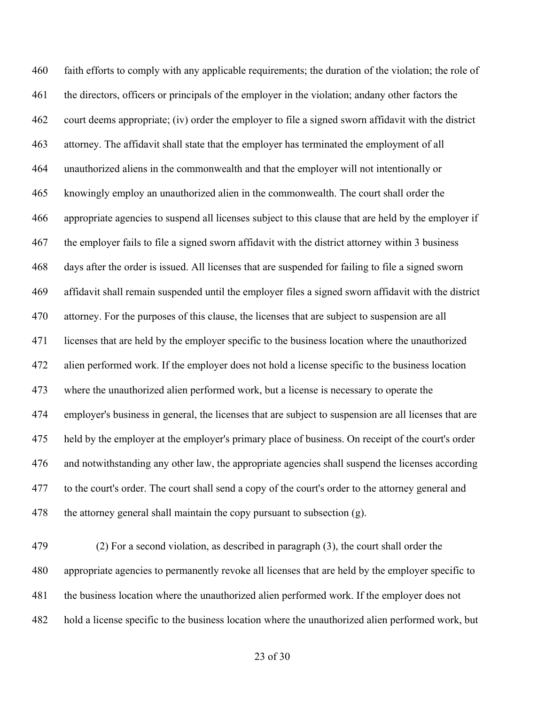faith efforts to comply with any applicable requirements; the duration of the violation; the role of the directors, officers or principals of the employer in the violation; andany other factors the court deems appropriate; (iv) order the employer to file a signed sworn affidavit with the district attorney. The affidavit shall state that the employer has terminated the employment of all unauthorized aliens in the commonwealth and that the employer will not intentionally or knowingly employ an unauthorized alien in the commonwealth. The court shall order the appropriate agencies to suspend all licenses subject to this clause that are held by the employer if the employer fails to file a signed sworn affidavit with the district attorney within 3 business days after the order is issued. All licenses that are suspended for failing to file a signed sworn affidavit shall remain suspended until the employer files a signed sworn affidavit with the district attorney. For the purposes of this clause, the licenses that are subject to suspension are all licenses that are held by the employer specific to the business location where the unauthorized alien performed work. If the employer does not hold a license specific to the business location where the unauthorized alien performed work, but a license is necessary to operate the employer's business in general, the licenses that are subject to suspension are all licenses that are held by the employer at the employer's primary place of business. On receipt of the court's order and notwithstanding any other law, the appropriate agencies shall suspend the licenses according to the court's order. The court shall send a copy of the court's order to the attorney general and 478 the attorney general shall maintain the copy pursuant to subsection  $(g)$ .

 (2) For a second violation, as described in paragraph (3), the court shall order the appropriate agencies to permanently revoke all licenses that are held by the employer specific to the business location where the unauthorized alien performed work. If the employer does not hold a license specific to the business location where the unauthorized alien performed work, but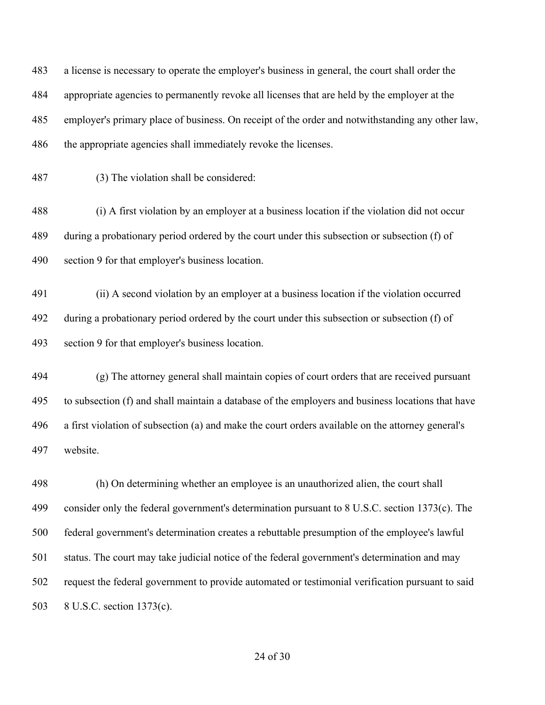a license is necessary to operate the employer's business in general, the court shall order the appropriate agencies to permanently revoke all licenses that are held by the employer at the employer's primary place of business. On receipt of the order and notwithstanding any other law, the appropriate agencies shall immediately revoke the licenses.

(3) The violation shall be considered:

 (i) A first violation by an employer at a business location if the violation did not occur during a probationary period ordered by the court under this subsection or subsection (f) of section 9 for that employer's business location.

 (ii) A second violation by an employer at a business location if the violation occurred during a probationary period ordered by the court under this subsection or subsection (f) of section 9 for that employer's business location.

 (g) The attorney general shall maintain copies of court orders that are received pursuant to subsection (f) and shall maintain a database of the employers and business locations that have a first violation of subsection (a) and make the court orders available on the attorney general's website.

 (h) On determining whether an employee is an unauthorized alien, the court shall consider only the federal government's determination pursuant to 8 U.S.C. section 1373(c). The federal government's determination creates a rebuttable presumption of the employee's lawful status. The court may take judicial notice of the federal government's determination and may request the federal government to provide automated or testimonial verification pursuant to said 8 U.S.C. section 1373(c).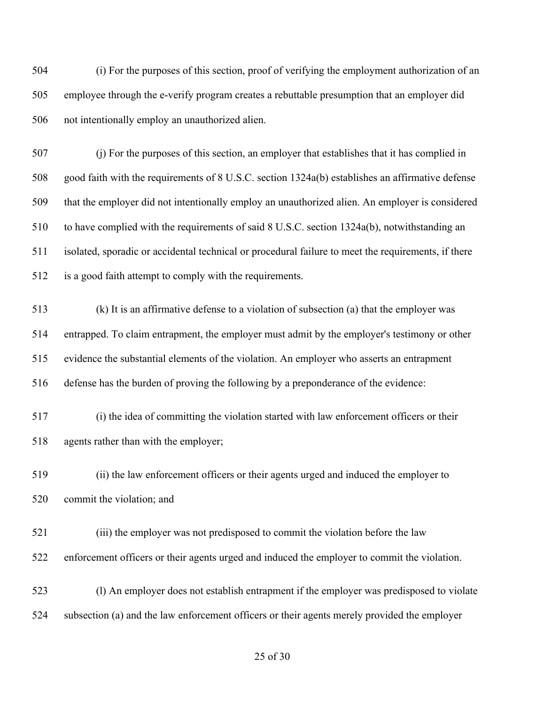(i) For the purposes of this section, proof of verifying the employment authorization of an employee through the e-verify program creates a rebuttable presumption that an employer did not intentionally employ an unauthorized alien.

 (j) For the purposes of this section, an employer that establishes that it has complied in good faith with the requirements of 8 U.S.C. section 1324a(b) establishes an affirmative defense that the employer did not intentionally employ an unauthorized alien. An employer is considered to have complied with the requirements of said 8 U.S.C. section 1324a(b), notwithstanding an isolated, sporadic or accidental technical or procedural failure to meet the requirements, if there is a good faith attempt to comply with the requirements.

 (k) It is an affirmative defense to a violation of subsection (a) that the employer was entrapped. To claim entrapment, the employer must admit by the employer's testimony or other evidence the substantial elements of the violation. An employer who asserts an entrapment defense has the burden of proving the following by a preponderance of the evidence:

 (i) the idea of committing the violation started with law enforcement officers or their agents rather than with the employer;

 (ii) the law enforcement officers or their agents urged and induced the employer to commit the violation; and

 (iii) the employer was not predisposed to commit the violation before the law enforcement officers or their agents urged and induced the employer to commit the violation.

 (l) An employer does not establish entrapment if the employer was predisposed to violate subsection (a) and the law enforcement officers or their agents merely provided the employer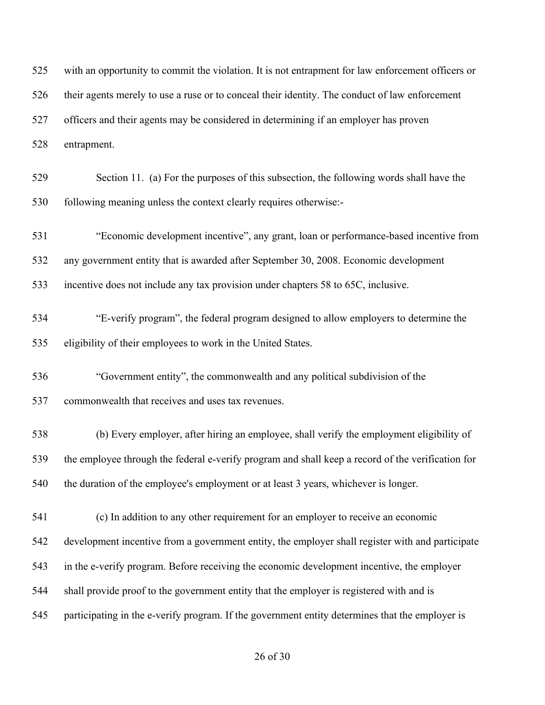| 525 | with an opportunity to commit the violation. It is not entrapment for law enforcement officers or |
|-----|---------------------------------------------------------------------------------------------------|
| 526 | their agents merely to use a ruse or to conceal their identity. The conduct of law enforcement    |
| 527 | officers and their agents may be considered in determining if an employer has proven              |
| 528 | entrapment.                                                                                       |
| 529 | Section 11. (a) For the purposes of this subsection, the following words shall have the           |
| 530 | following meaning unless the context clearly requires otherwise:-                                 |
| 531 | "Economic development incentive", any grant, loan or performance-based incentive from             |
| 532 | any government entity that is awarded after September 30, 2008. Economic development              |
| 533 | incentive does not include any tax provision under chapters 58 to 65C, inclusive.                 |
| 534 | "E-verify program", the federal program designed to allow employers to determine the              |
| 535 | eligibility of their employees to work in the United States.                                      |
| 536 | "Government entity", the commonwealth and any political subdivision of the                        |
| 537 | commonwealth that receives and uses tax revenues.                                                 |
| 538 | (b) Every employer, after hiring an employee, shall verify the employment eligibility of          |
| 539 | the employee through the federal e-verify program and shall keep a record of the verification for |
| 540 | the duration of the employee's employment or at least 3 years, whichever is longer.               |
| 541 | (c) In addition to any other requirement for an employer to receive an economic                   |
| 542 | development incentive from a government entity, the employer shall register with and participate  |
| 543 | in the e-verify program. Before receiving the economic development incentive, the employer        |
| 544 | shall provide proof to the government entity that the employer is registered with and is          |
| 545 | participating in the e-verify program. If the government entity determines that the employer is   |
|     |                                                                                                   |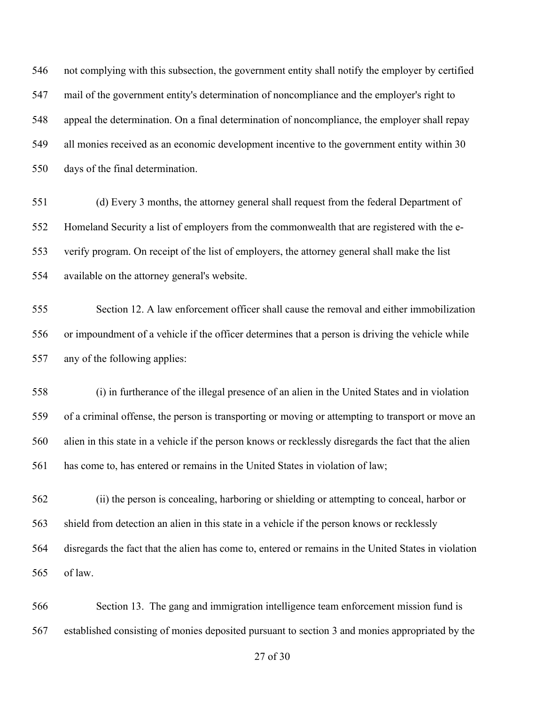not complying with this subsection, the government entity shall notify the employer by certified mail of the government entity's determination of noncompliance and the employer's right to appeal the determination. On a final determination of noncompliance, the employer shall repay all monies received as an economic development incentive to the government entity within 30 days of the final determination.

 (d) Every 3 months, the attorney general shall request from the federal Department of Homeland Security a list of employers from the commonwealth that are registered with the e- verify program. On receipt of the list of employers, the attorney general shall make the list available on the attorney general's website.

 Section 12. A law enforcement officer shall cause the removal and either immobilization or impoundment of a vehicle if the officer determines that a person is driving the vehicle while any of the following applies:

 (i) in furtherance of the illegal presence of an alien in the United States and in violation of a criminal offense, the person is transporting or moving or attempting to transport or move an alien in this state in a vehicle if the person knows or recklessly disregards the fact that the alien has come to, has entered or remains in the United States in violation of law;

 (ii) the person is concealing, harboring or shielding or attempting to conceal, harbor or shield from detection an alien in this state in a vehicle if the person knows or recklessly disregards the fact that the alien has come to, entered or remains in the United States in violation of law.

 Section 13. The gang and immigration intelligence team enforcement mission fund is established consisting of monies deposited pursuant to section 3 and monies appropriated by the

of 30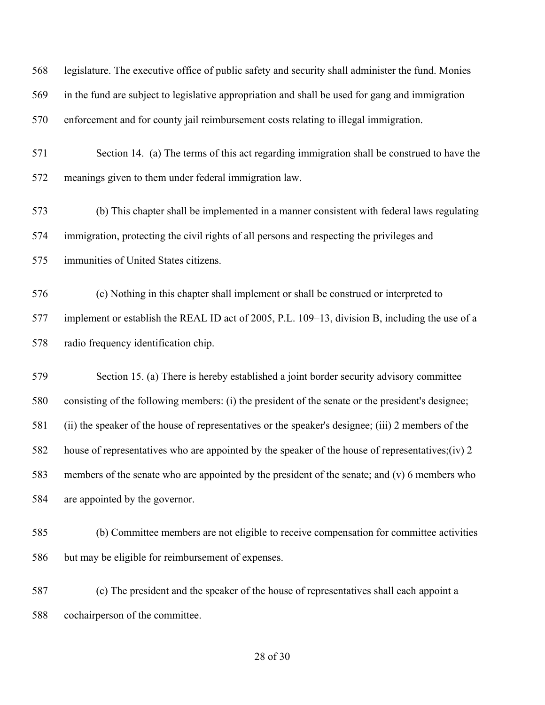legislature. The executive office of public safety and security shall administer the fund. Monies in the fund are subject to legislative appropriation and shall be used for gang and immigration enforcement and for county jail reimbursement costs relating to illegal immigration. Section 14. (a) The terms of this act regarding immigration shall be construed to have the meanings given to them under federal immigration law. (b) This chapter shall be implemented in a manner consistent with federal laws regulating immigration, protecting the civil rights of all persons and respecting the privileges and immunities of United States citizens. (c) Nothing in this chapter shall implement or shall be construed or interpreted to implement or establish the REAL ID act of 2005, P.L. 109–13, division B, including the use of a radio frequency identification chip. Section 15. (a) There is hereby established a joint border security advisory committee consisting of the following members: (i) the president of the senate or the president's designee; (ii) the speaker of the house of representatives or the speaker's designee; (iii) 2 members of the house of representatives who are appointed by the speaker of the house of representatives;(iv) 2 members of the senate who are appointed by the president of the senate; and (v) 6 members who are appointed by the governor. (b) Committee members are not eligible to receive compensation for committee activities but may be eligible for reimbursement of expenses. (c) The president and the speaker of the house of representatives shall each appoint a

cochairperson of the committee.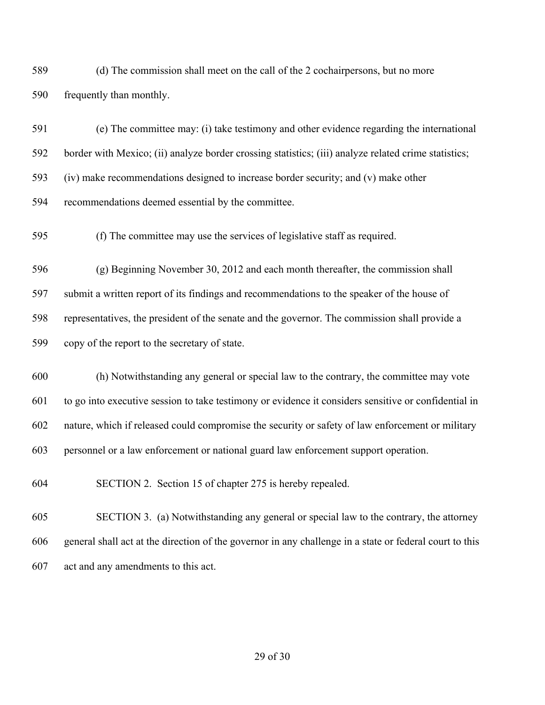(d) The commission shall meet on the call of the 2 cochairpersons, but no more frequently than monthly.

 (e) The committee may: (i) take testimony and other evidence regarding the international border with Mexico; (ii) analyze border crossing statistics; (iii) analyze related crime statistics; (iv) make recommendations designed to increase border security; and (v) make other recommendations deemed essential by the committee.

(f) The committee may use the services of legislative staff as required.

 (g) Beginning November 30, 2012 and each month thereafter, the commission shall submit a written report of its findings and recommendations to the speaker of the house of representatives, the president of the senate and the governor. The commission shall provide a copy of the report to the secretary of state.

 (h) Notwithstanding any general or special law to the contrary, the committee may vote to go into executive session to take testimony or evidence it considers sensitive or confidential in nature, which if released could compromise the security or safety of law enforcement or military personnel or a law enforcement or national guard law enforcement support operation.

SECTION 2. Section 15 of chapter 275 is hereby repealed.

 SECTION 3. (a) Notwithstanding any general or special law to the contrary, the attorney general shall act at the direction of the governor in any challenge in a state or federal court to this act and any amendments to this act.